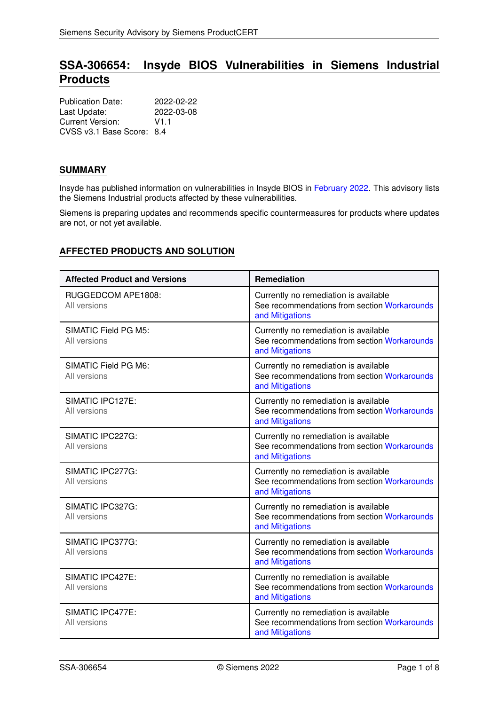# **SSA-306654: Insyde BIOS Vulnerabilities in Siemens Industrial Products**

| <b>Publication Date:</b>  | 2022-02-22 |
|---------------------------|------------|
| Last Update:              | 2022-03-08 |
| Current Version:          | V1 1       |
| CVSS v3.1 Base Score: 8.4 |            |

# **SUMMARY**

Insyde has published information on vulnerabilities in Insyde BIOS in [February 2022.](https://www.insyde.com/security-pledge) This advisory lists the Siemens Industrial products affected by these vulnerabilities.

Siemens is preparing updates and recommends specific countermeasures for products where updates are not, or not yet available.

# **AFFECTED PRODUCTS AND SOLUTION**

| <b>Affected Product and Versions</b> | Remediation                                                                                              |
|--------------------------------------|----------------------------------------------------------------------------------------------------------|
| RUGGEDCOM APE1808:<br>All versions   | Currently no remediation is available<br>See recommendations from section Workarounds<br>and Mitigations |
| SIMATIC Field PG M5:<br>All versions | Currently no remediation is available<br>See recommendations from section Workarounds<br>and Mitigations |
| SIMATIC Field PG M6:<br>All versions | Currently no remediation is available<br>See recommendations from section Workarounds<br>and Mitigations |
| SIMATIC IPC127E:<br>All versions     | Currently no remediation is available<br>See recommendations from section Workarounds<br>and Mitigations |
| SIMATIC IPC227G:<br>All versions     | Currently no remediation is available<br>See recommendations from section Workarounds<br>and Mitigations |
| SIMATIC IPC277G:<br>All versions     | Currently no remediation is available<br>See recommendations from section Workarounds<br>and Mitigations |
| SIMATIC IPC327G:<br>All versions     | Currently no remediation is available<br>See recommendations from section Workarounds<br>and Mitigations |
| SIMATIC IPC377G:<br>All versions     | Currently no remediation is available<br>See recommendations from section Workarounds<br>and Mitigations |
| SIMATIC IPC427E:<br>All versions     | Currently no remediation is available<br>See recommendations from section Workarounds<br>and Mitigations |
| SIMATIC IPC477E:<br>All versions     | Currently no remediation is available<br>See recommendations from section Workarounds<br>and Mitigations |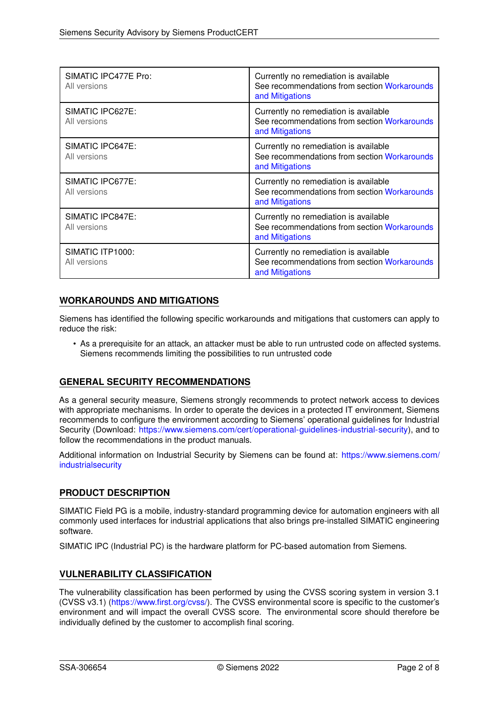| SIMATIC IPC477E Pro:<br>All versions | Currently no remediation is available<br>See recommendations from section Workarounds<br>and Mitigations |
|--------------------------------------|----------------------------------------------------------------------------------------------------------|
| SIMATIC IPC627E:<br>All versions     | Currently no remediation is available<br>See recommendations from section Workarounds<br>and Mitigations |
| SIMATIC IPC647E:<br>All versions     | Currently no remediation is available<br>See recommendations from section Workarounds<br>and Mitigations |
| SIMATIC IPC677E:<br>All versions     | Currently no remediation is available<br>See recommendations from section Workarounds<br>and Mitigations |
| SIMATIC IPC847E:<br>All versions     | Currently no remediation is available<br>See recommendations from section Workarounds<br>and Mitigations |
| SIMATIC ITP1000:<br>All versions     | Currently no remediation is available<br>See recommendations from section Workarounds<br>and Mitigations |

# <span id="page-1-0"></span>**WORKAROUNDS AND MITIGATIONS**

Siemens has identified the following specific workarounds and mitigations that customers can apply to reduce the risk:

• As a prerequisite for an attack, an attacker must be able to run untrusted code on affected systems. Siemens recommends limiting the possibilities to run untrusted code

# **GENERAL SECURITY RECOMMENDATIONS**

As a general security measure, Siemens strongly recommends to protect network access to devices with appropriate mechanisms. In order to operate the devices in a protected IT environment, Siemens recommends to configure the environment according to Siemens' operational guidelines for Industrial Security (Download: [https://www.siemens.com/cert/operational-guidelines-industrial-security\)](https://www.siemens.com/cert/operational-guidelines-industrial-security), and to follow the recommendations in the product manuals.

Additional information on Industrial Security by Siemens can be found at: [https://www.siemens.com/](https://www.siemens.com/industrialsecurity) [industrialsecurity](https://www.siemens.com/industrialsecurity)

# **PRODUCT DESCRIPTION**

SIMATIC Field PG is a mobile, industry-standard programming device for automation engineers with all commonly used interfaces for industrial applications that also brings pre-installed SIMATIC engineering software.

SIMATIC IPC (Industrial PC) is the hardware platform for PC-based automation from Siemens.

# **VULNERABILITY CLASSIFICATION**

The vulnerability classification has been performed by using the CVSS scoring system in version 3.1 (CVSS v3.1) [\(https://www.first.org/cvss/\)](https://www.first.org/cvss/). The CVSS environmental score is specific to the customer's environment and will impact the overall CVSS score. The environmental score should therefore be individually defined by the customer to accomplish final scoring.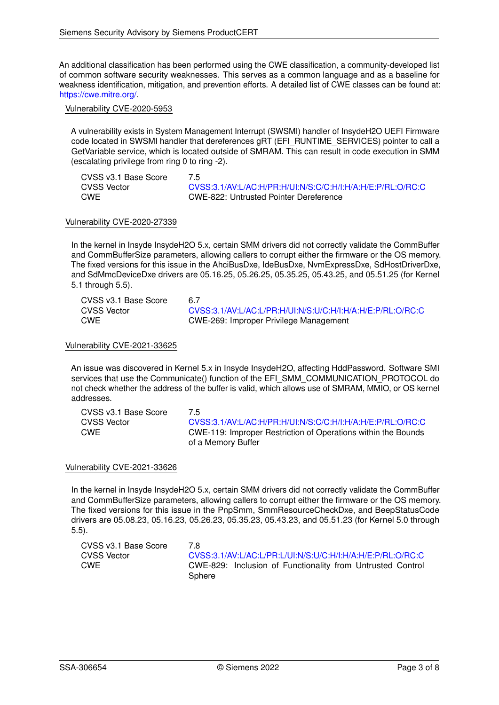An additional classification has been performed using the CWE classification, a community-developed list of common software security weaknesses. This serves as a common language and as a baseline for weakness identification, mitigation, and prevention efforts. A detailed list of CWE classes can be found at: [https://cwe.mitre.org/.](https://cwe.mitre.org/)

# Vulnerability CVE-2020-5953

A vulnerability exists in System Management Interrupt (SWSMI) handler of InsydeH2O UEFI Firmware code located in SWSMI handler that dereferences gRT (EFI\_RUNTIME\_SERVICES) pointer to call a GetVariable service, which is located outside of SMRAM. This can result in code execution in SMM (escalating privilege from ring 0 to ring -2).

| CVSS v3.1 Base Score | 7.5                                                        |
|----------------------|------------------------------------------------------------|
| <b>CVSS Vector</b>   | CVSS:3.1/AV:L/AC:H/PR:H/UI:N/S:C/C:H/I:H/A:H/E:P/RL:O/RC:C |
| CWE                  | CWE-822: Untrusted Pointer Dereference                     |

# Vulnerability CVE-2020-27339

In the kernel in Insyde InsydeH2O 5.x, certain SMM drivers did not correctly validate the CommBuffer and CommBufferSize parameters, allowing callers to corrupt either the firmware or the OS memory. The fixed versions for this issue in the AhciBusDxe, IdeBusDxe, NvmExpressDxe, SdHostDriverDxe, and SdMmcDeviceDxe drivers are 05.16.25, 05.26.25, 05.35.25, 05.43.25, and 05.51.25 (for Kernel 5.1 through 5.5).

| CVSS v3.1 Base Score | 6.7                                                        |
|----------------------|------------------------------------------------------------|
| CVSS Vector          | CVSS:3.1/AV:L/AC:L/PR:H/UI:N/S:U/C:H/I:H/A:H/E:P/RL:O/RC:C |
| <b>CWE</b>           | CWE-269: Improper Privilege Management                     |

# Vulnerability CVE-2021-33625

An issue was discovered in Kernel 5.x in Insyde InsydeH2O, affecting HddPassword. Software SMI services that use the Communicate() function of the EFI\_SMM\_COMMUNICATION\_PROTOCOL do not check whether the address of the buffer is valid, which allows use of SMRAM, MMIO, or OS kernel addresses.

| CVSS v3.1 Base Score | 75                                                            |
|----------------------|---------------------------------------------------------------|
| <b>CVSS Vector</b>   | CVSS:3.1/AV:L/AC:H/PR:H/UI:N/S:C/C:H/I:H/A:H/E:P/RL:O/RC:C    |
| CWE                  | CWE-119: Improper Restriction of Operations within the Bounds |
|                      | of a Memory Buffer                                            |

# Vulnerability CVE-2021-33626

In the kernel in Insyde InsydeH2O 5.x, certain SMM drivers did not correctly validate the CommBuffer and CommBufferSize parameters, allowing callers to corrupt either the firmware or the OS memory. The fixed versions for this issue in the PnpSmm, SmmResourceCheckDxe, and BeepStatusCode drivers are 05.08.23, 05.16.23, 05.26.23, 05.35.23, 05.43.23, and 05.51.23 (for Kernel 5.0 through 5.5).

| CVSS v3.1 Base Score | 7 R                                                        |
|----------------------|------------------------------------------------------------|
| CVSS Vector          | CVSS:3.1/AV:L/AC:L/PR:L/UI:N/S:U/C:H/I:H/A:H/E:P/RL:O/RC:C |
| CWE                  | CWE-829: Inclusion of Functionality from Untrusted Control |
|                      | Sphere                                                     |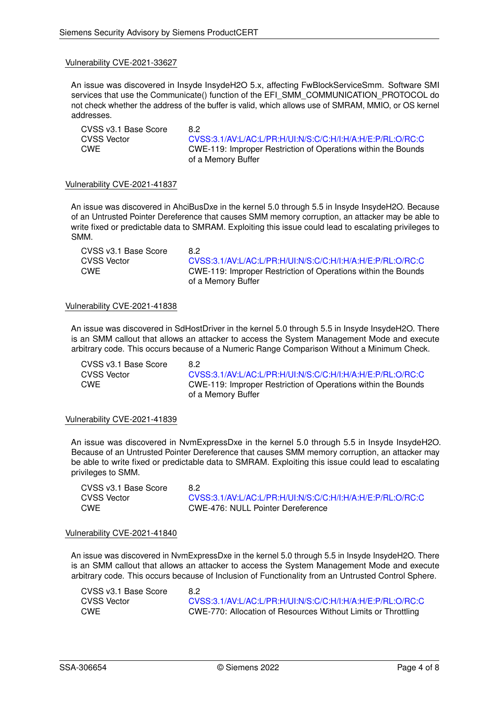An issue was discovered in Insyde InsydeH2O 5.x, affecting FwBlockServiceSmm. Software SMI services that use the Communicate() function of the EFI\_SMM\_COMMUNICATION\_PROTOCOL do not check whether the address of the buffer is valid, which allows use of SMRAM, MMIO, or OS kernel addresses.

CVSS v3.1 Base Score 8.2

CVSS Vector [CVSS:3.1/AV:L/AC:L/PR:H/UI:N/S:C/C:H/I:H/A:H/E:P/RL:O/RC:C](https://www.first.org/cvss/calculator/3.1#CVSS:3.1/AV:L/AC:L/PR:H/UI:N/S:C/C:H/I:H/A:H/E:P/RL:O/RC:C) CWE CWE-119: Improper Restriction of Operations within the Bounds of a Memory Buffer

#### Vulnerability CVE-2021-41837

An issue was discovered in AhciBusDxe in the kernel 5.0 through 5.5 in Insyde InsydeH2O. Because of an Untrusted Pointer Dereference that causes SMM memory corruption, an attacker may be able to write fixed or predictable data to SMRAM. Exploiting this issue could lead to escalating privileges to SMM.

CVSS v3.1 Base Score 8.2

CVSS Vector [CVSS:3.1/AV:L/AC:L/PR:H/UI:N/S:C/C:H/I:H/A:H/E:P/RL:O/RC:C](https://www.first.org/cvss/calculator/3.1#CVSS:3.1/AV:L/AC:L/PR:H/UI:N/S:C/C:H/I:H/A:H/E:P/RL:O/RC:C) CWE CWE-119: Improper Restriction of Operations within the Bounds of a Memory Buffer

# Vulnerability CVE-2021-41838

An issue was discovered in SdHostDriver in the kernel 5.0 through 5.5 in Insyde InsydeH2O. There is an SMM callout that allows an attacker to access the System Management Mode and execute arbitrary code. This occurs because of a Numeric Range Comparison Without a Minimum Check.

CVSS v3.1 Base Score 8.2<br>CVSS Vector 6.7%

CVSS Vector [CVSS:3.1/AV:L/AC:L/PR:H/UI:N/S:C/C:H/I:H/A:H/E:P/RL:O/RC:C](https://www.first.org/cvss/calculator/3.1#CVSS:3.1/AV:L/AC:L/PR:H/UI:N/S:C/C:H/I:H/A:H/E:P/RL:O/RC:C)<br>CWE-119: Improper Restriction of Operations within the Bounds CWE CWE-119: Improper Restriction of Operations within the Bounds of a Memory Buffer

# Vulnerability CVE-2021-41839

An issue was discovered in NvmExpressDxe in the kernel 5.0 through 5.5 in Insyde InsydeH2O. Because of an Untrusted Pointer Dereference that causes SMM memory corruption, an attacker may be able to write fixed or predictable data to SMRAM. Exploiting this issue could lead to escalating privileges to SMM.

CVSS v3.1 Base Score 8.2

CVSS Vector [CVSS:3.1/AV:L/AC:L/PR:H/UI:N/S:C/C:H/I:H/A:H/E:P/RL:O/RC:C](https://www.first.org/cvss/calculator/3.1#CVSS:3.1/AV:L/AC:L/PR:H/UI:N/S:C/C:H/I:H/A:H/E:P/RL:O/RC:C)<br>CWE CWE-476: NULL Pointer Dereference CWE CWE-476: NULL Pointer Dereference

#### Vulnerability CVE-2021-41840

An issue was discovered in NvmExpressDxe in the kernel 5.0 through 5.5 in Insyde InsydeH2O. There is an SMM callout that allows an attacker to access the System Management Mode and execute arbitrary code. This occurs because of Inclusion of Functionality from an Untrusted Control Sphere.

| CVSS v3.1 Base Score | 8.2                                                           |
|----------------------|---------------------------------------------------------------|
| CVSS Vector          | CVSS:3.1/AV:L/AC:L/PR:H/UI:N/S:C/C:H/I:H/A:H/E:P/RL:O/RC:C    |
| <b>CWE</b>           | CWE-770: Allocation of Resources Without Limits or Throttling |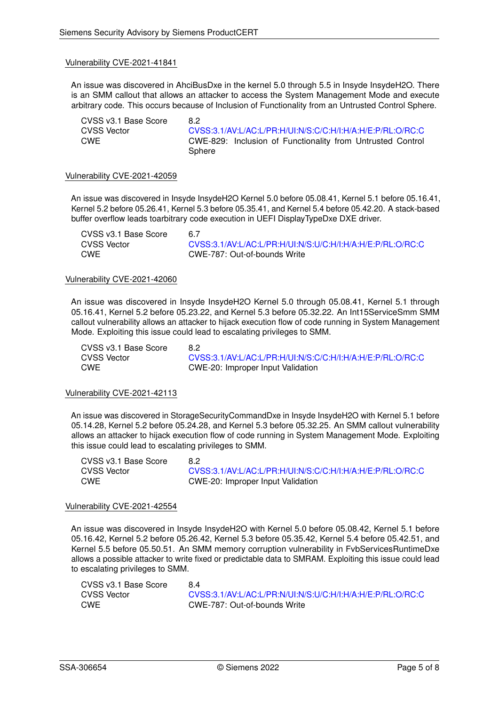An issue was discovered in AhciBusDxe in the kernel 5.0 through 5.5 in Insyde InsydeH2O. There is an SMM callout that allows an attacker to access the System Management Mode and execute arbitrary code. This occurs because of Inclusion of Functionality from an Untrusted Control Sphere.

CVSS v3.1 Base Score 8.2<br>CVSS Vector 6.1

[CVSS:3.1/AV:L/AC:L/PR:H/UI:N/S:C/C:H/I:H/A:H/E:P/RL:O/RC:C](https://www.first.org/cvss/calculator/3.1#CVSS:3.1/AV:L/AC:L/PR:H/UI:N/S:C/C:H/I:H/A:H/E:P/RL:O/RC:C) CWE CWE-829: Inclusion of Functionality from Untrusted Control Sphere

#### Vulnerability CVE-2021-42059

An issue was discovered in Insyde InsydeH2O Kernel 5.0 before 05.08.41, Kernel 5.1 before 05.16.41, Kernel 5.2 before 05.26.41, Kernel 5.3 before 05.35.41, and Kernel 5.4 before 05.42.20. A stack-based buffer overflow leads toarbitrary code execution in UEFI DisplayTypeDxe DXE driver.

| CVSS v3.1 Base Score | 6.7 |
|----------------------|-----|
| CVSS Vector          | CV  |
| CWE                  | C٧  |

[CVSS:3.1/AV:L/AC:L/PR:H/UI:N/S:U/C:H/I:H/A:H/E:P/RL:O/RC:C](https://www.first.org/cvss/calculator/3.1#CVSS:3.1/AV:L/AC:L/PR:H/UI:N/S:U/C:H/I:H/A:H/E:P/RL:O/RC:C) CWE CWE-787: Out-of-bounds Write

#### Vulnerability CVE-2021-42060

An issue was discovered in Insyde InsydeH2O Kernel 5.0 through 05.08.41, Kernel 5.1 through 05.16.41, Kernel 5.2 before 05.23.22, and Kernel 5.3 before 05.32.22. An Int15ServiceSmm SMM callout vulnerability allows an attacker to hijack execution flow of code running in System Management Mode. Exploiting this issue could lead to escalating privileges to SMM.

CVSS v3.1 Base Score 8.2

CVSS Vector [CVSS:3.1/AV:L/AC:L/PR:H/UI:N/S:C/C:H/I:H/A:H/E:P/RL:O/RC:C](https://www.first.org/cvss/calculator/3.1#CVSS:3.1/AV:L/AC:L/PR:H/UI:N/S:C/C:H/I:H/A:H/E:P/RL:O/RC:C) CWE CWE-20: Improper Input Validation

# Vulnerability CVE-2021-42113

An issue was discovered in StorageSecurityCommandDxe in Insyde InsydeH2O with Kernel 5.1 before 05.14.28, Kernel 5.2 before 05.24.28, and Kernel 5.3 before 05.32.25. An SMM callout vulnerability allows an attacker to hijack execution flow of code running in System Management Mode. Exploiting this issue could lead to escalating privileges to SMM.

| CVSS v3.1 Base Score | 8.2                                                        |
|----------------------|------------------------------------------------------------|
| CVSS Vector          | CVSS:3.1/AV:L/AC:L/PR:H/UI:N/S:C/C:H/I:H/A:H/E:P/RL:O/RC:C |
| CWE                  | CWE-20: Improper Input Validation                          |

#### Vulnerability CVE-2021-42554

An issue was discovered in Insyde InsydeH2O with Kernel 5.0 before 05.08.42, Kernel 5.1 before 05.16.42, Kernel 5.2 before 05.26.42, Kernel 5.3 before 05.35.42, Kernel 5.4 before 05.42.51, and Kernel 5.5 before 05.50.51. An SMM memory corruption vulnerability in FvbServicesRuntimeDxe allows a possible attacker to write fixed or predictable data to SMRAM. Exploiting this issue could lead to escalating privileges to SMM.

| CVSS v3.1 Base Score | 84                                                         |
|----------------------|------------------------------------------------------------|
| <b>CVSS Vector</b>   | CVSS:3.1/AV:L/AC:L/PR:N/UI:N/S:U/C:H/I:H/A:H/E:P/RL:O/RC:C |
| CWE                  | CWE-787: Out-of-bounds Write                               |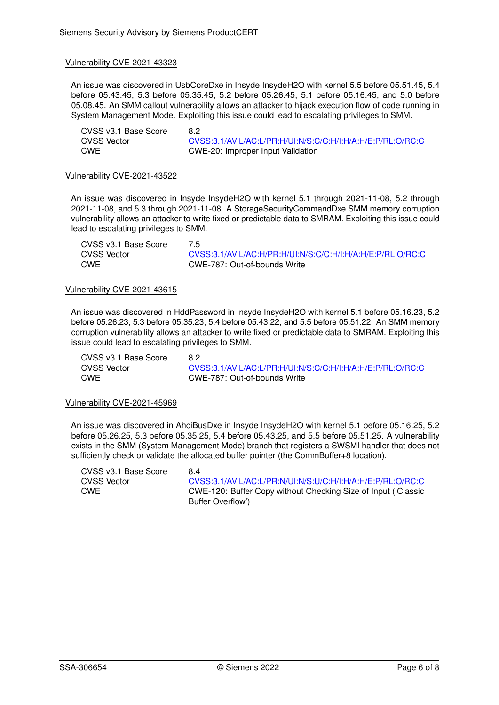An issue was discovered in UsbCoreDxe in Insyde InsydeH2O with kernel 5.5 before 05.51.45, 5.4 before 05.43.45, 5.3 before 05.35.45, 5.2 before 05.26.45, 5.1 before 05.16.45, and 5.0 before 05.08.45. An SMM callout vulnerability allows an attacker to hijack execution flow of code running in System Management Mode. Exploiting this issue could lead to escalating privileges to SMM.

CVSS v3.1 Base Score 8.2

CVSS Vector [CVSS:3.1/AV:L/AC:L/PR:H/UI:N/S:C/C:H/I:H/A:H/E:P/RL:O/RC:C](https://www.first.org/cvss/calculator/3.1#CVSS:3.1/AV:L/AC:L/PR:H/UI:N/S:C/C:H/I:H/A:H/E:P/RL:O/RC:C)<br>CWE CWE-20: Improper Input Validation CWE CWE-20: Improper Input Validation

#### Vulnerability CVE-2021-43522

An issue was discovered in Insyde InsydeH2O with kernel 5.1 through 2021-11-08, 5.2 through 2021-11-08, and 5.3 through 2021-11-08. A StorageSecurityCommandDxe SMM memory corruption vulnerability allows an attacker to write fixed or predictable data to SMRAM. Exploiting this issue could lead to escalating privileges to SMM.

| CVSS v3.1 Base Score | 7.5                                                        |
|----------------------|------------------------------------------------------------|
| <b>CVSS Vector</b>   | CVSS:3.1/AV:L/AC:H/PR:H/UI:N/S:C/C:H/I:H/A:H/E:P/RL:O/RC:C |
| <b>CWE</b>           | CWE-787: Out-of-bounds Write                               |

#### Vulnerability CVE-2021-43615

An issue was discovered in HddPassword in Insyde InsydeH2O with kernel 5.1 before 05.16.23, 5.2 before 05.26.23, 5.3 before 05.35.23, 5.4 before 05.43.22, and 5.5 before 05.51.22. An SMM memory corruption vulnerability allows an attacker to write fixed or predictable data to SMRAM. Exploiting this issue could lead to escalating privileges to SMM.

CVSS v3.1 Base Score 8.2

CVSS Vector [CVSS:3.1/AV:L/AC:L/PR:H/UI:N/S:C/C:H/I:H/A:H/E:P/RL:O/RC:C](https://www.first.org/cvss/calculator/3.1#CVSS:3.1/AV:L/AC:L/PR:H/UI:N/S:C/C:H/I:H/A:H/E:P/RL:O/RC:C) CWE CWE-787: Out-of-bounds Write

# Vulnerability CVE-2021-45969

An issue was discovered in AhciBusDxe in Insyde InsydeH2O with kernel 5.1 before 05.16.25, 5.2 before 05.26.25, 5.3 before 05.35.25, 5.4 before 05.43.25, and 5.5 before 05.51.25. A vulnerability exists in the SMM (System Management Mode) branch that registers a SWSMI handler that does not sufficiently check or validate the allocated buffer pointer (the CommBuffer+8 location).

CVSS v3.1 Base Score 8.4

CVSS Vector [CVSS:3.1/AV:L/AC:L/PR:N/UI:N/S:U/C:H/I:H/A:H/E:P/RL:O/RC:C](https://www.first.org/cvss/calculator/3.1#CVSS:3.1/AV:L/AC:L/PR:N/UI:N/S:U/C:H/I:H/A:H/E:P/RL:O/RC:C) CWE CWE-120: Buffer Copy without Checking Size of Input ('Classic Buffer Overflow')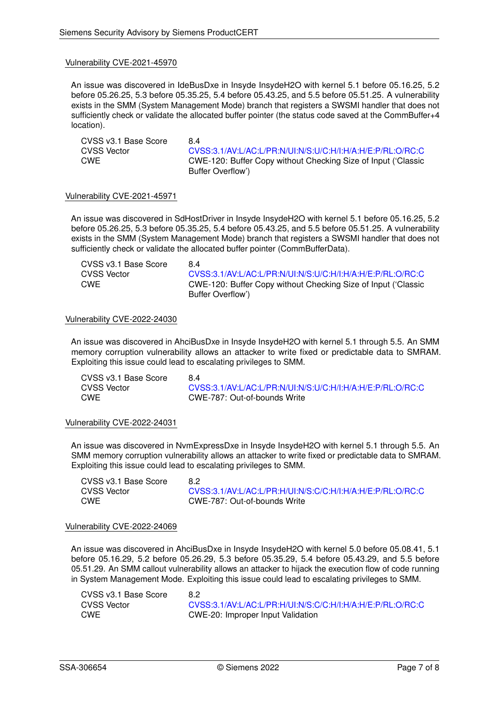An issue was discovered in IdeBusDxe in Insyde InsydeH2O with kernel 5.1 before 05.16.25, 5.2 before 05.26.25, 5.3 before 05.35.25, 5.4 before 05.43.25, and 5.5 before 05.51.25. A vulnerability exists in the SMM (System Management Mode) branch that registers a SWSMI handler that does not sufficiently check or validate the allocated buffer pointer (the status code saved at the CommBuffer+4 location).

CVSS v3.1 Base Score 8.4<br>CVSS Vector 6.9 CVSS Vector [CVSS:3.1/AV:L/AC:L/PR:N/UI:N/S:U/C:H/I:H/A:H/E:P/RL:O/RC:C](https://www.first.org/cvss/calculator/3.1#CVSS:3.1/AV:L/AC:L/PR:N/UI:N/S:U/C:H/I:H/A:H/E:P/RL:O/RC:C)<br>CWE CWE-120: Buffer Copy without Checking Size of Input ('Classic CWE CWE-120: Buffer Copy without Checking Size of Input ('Classic Buffer Overflow')

# Vulnerability CVE-2021-45971

An issue was discovered in SdHostDriver in Insyde InsydeH2O with kernel 5.1 before 05.16.25, 5.2 before 05.26.25, 5.3 before 05.35.25, 5.4 before 05.43.25, and 5.5 before 05.51.25. A vulnerability exists in the SMM (System Management Mode) branch that registers a SWSMI handler that does not sufficiently check or validate the allocated buffer pointer (CommBufferData).

CVSS v3.1 Base Score 8.4

CVSS Vector [CVSS:3.1/AV:L/AC:L/PR:N/UI:N/S:U/C:H/I:H/A:H/E:P/RL:O/RC:C](https://www.first.org/cvss/calculator/3.1#CVSS:3.1/AV:L/AC:L/PR:N/UI:N/S:U/C:H/I:H/A:H/E:P/RL:O/RC:C) CWE CWE-120: Buffer Copy without Checking Size of Input ('Classic Buffer Overflow')

#### Vulnerability CVE-2022-24030

An issue was discovered in AhciBusDxe in Insyde InsydeH2O with kernel 5.1 through 5.5. An SMM memory corruption vulnerability allows an attacker to write fixed or predictable data to SMRAM. Exploiting this issue could lead to escalating privileges to SMM.

CVSS v3.1 Base Score 8.4 CVSS Vector [CVSS:3.1/AV:L/AC:L/PR:N/UI:N/S:U/C:H/I:H/A:H/E:P/RL:O/RC:C](https://www.first.org/cvss/calculator/3.1#CVSS:3.1/AV:L/AC:L/PR:N/UI:N/S:U/C:H/I:H/A:H/E:P/RL:O/RC:C) CWE CWE-787: Out-of-bounds Write

#### Vulnerability CVE-2022-24031

An issue was discovered in NvmExpressDxe in Insyde InsydeH2O with kernel 5.1 through 5.5. An SMM memory corruption vulnerability allows an attacker to write fixed or predictable data to SMRAM. Exploiting this issue could lead to escalating privileges to SMM.

CVSS v3.1 Base Score 8.2

CVSS Vector [CVSS:3.1/AV:L/AC:L/PR:H/UI:N/S:C/C:H/I:H/A:H/E:P/RL:O/RC:C](https://www.first.org/cvss/calculator/3.1#CVSS:3.1/AV:L/AC:L/PR:H/UI:N/S:C/C:H/I:H/A:H/E:P/RL:O/RC:C) CWE CWE-787: Out-of-bounds Write

#### Vulnerability CVE-2022-24069

An issue was discovered in AhciBusDxe in Insyde InsydeH2O with kernel 5.0 before 05.08.41, 5.1 before 05.16.29, 5.2 before 05.26.29, 5.3 before 05.35.29, 5.4 before 05.43.29, and 5.5 before 05.51.29. An SMM callout vulnerability allows an attacker to hijack the execution flow of code running in System Management Mode. Exploiting this issue could lead to escalating privileges to SMM.

| CVSS v3.1 Base Score | 8.2                                                        |
|----------------------|------------------------------------------------------------|
| CVSS Vector          | CVSS:3.1/AV:L/AC:L/PR:H/UI:N/S:C/C:H/I:H/A:H/E:P/RL:O/RC:C |
| <b>CWE</b>           | CWE-20: Improper Input Validation                          |